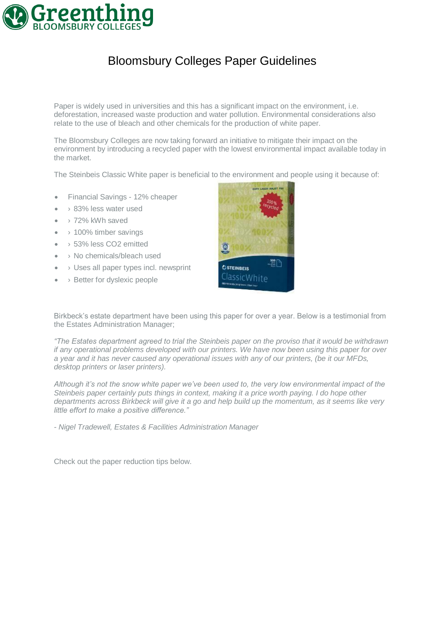

## Bloomsbury Colleges Paper Guidelines

Paper is widely used in universities and this has a significant impact on the environment, i.e. deforestation, increased waste production and water pollution. Environmental considerations also relate to the use of bleach and other chemicals for the production of white paper.

The Bloomsbury Colleges are now taking forward an initiative to mitigate their impact on the environment by introducing a recycled paper with the lowest environmental impact available today in the market.

The Steinbeis Classic White paper is beneficial to the environment and people using it because of:

- Financial Savings 12% cheaper
- › 83% less water used
- › 72% kWh saved
- $\bullet \rightarrow 100\%$  timber savings
- › 53% less CO2 emitted
- › No chemicals/bleach used
- > Uses all paper types incl. newsprint
- › Better for dyslexic people



Birkbeck's estate department have been using this paper for over a year. Below is a testimonial from the Estates Administration Manager;

*"The Estates department agreed to trial the Steinbeis paper on the proviso that it would be withdrawn if any operational problems developed with our printers. We have now been using this paper for over a year and it has never caused any operational issues with any of our printers, (be it our MFDs, desktop printers or laser printers).*

*Although it's not the snow white paper we've been used to, the very low environmental impact of the Steinbeis paper certainly puts things in context, making it a price worth paying. I do hope other departments across Birkbeck will give it a go and help build up the momentum, as it seems like very little effort to make a positive difference."*

*- Nigel Tradewell, Estates & Facilities Administration Manager*

Check out the paper reduction tips below.